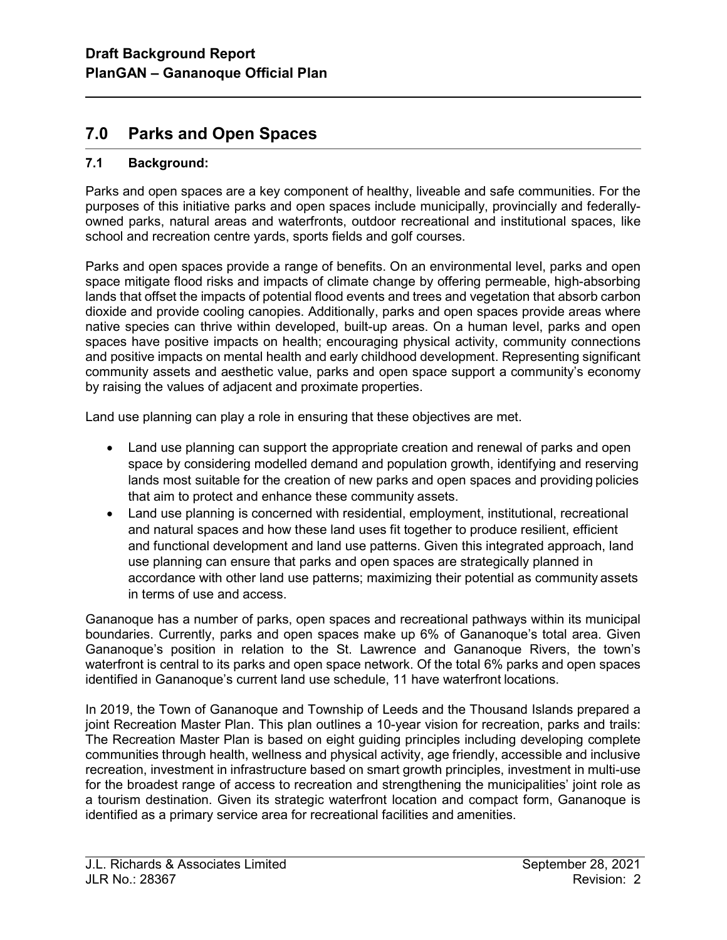# 7.0 Parks and Open Spaces

# 7.1 Background:

l

Parks and open spaces are a key component of healthy, liveable and safe communities. For the purposes of this initiative parks and open spaces include municipally, provincially and federallyowned parks, natural areas and waterfronts, outdoor recreational and institutional spaces, like school and recreation centre yards, sports fields and golf courses.

Parks and open spaces provide a range of benefits. On an environmental level, parks and open space mitigate flood risks and impacts of climate change by offering permeable, high-absorbing lands that offset the impacts of potential flood events and trees and vegetation that absorb carbon dioxide and provide cooling canopies. Additionally, parks and open spaces provide areas where native species can thrive within developed, built-up areas. On a human level, parks and open spaces have positive impacts on health; encouraging physical activity, community connections and positive impacts on mental health and early childhood development. Representing significant community assets and aesthetic value, parks and open space support a community's economy by raising the values of adjacent and proximate properties.

Land use planning can play a role in ensuring that these objectives are met.

- Land use planning can support the appropriate creation and renewal of parks and open space by considering modelled demand and population growth, identifying and reserving lands most suitable for the creation of new parks and open spaces and providing policies that aim to protect and enhance these community assets.
- Land use planning is concerned with residential, employment, institutional, recreational and natural spaces and how these land uses fit together to produce resilient, efficient and functional development and land use patterns. Given this integrated approach, land use planning can ensure that parks and open spaces are strategically planned in accordance with other land use patterns; maximizing their potential as community assets in terms of use and access.

Gananoque has a number of parks, open spaces and recreational pathways within its municipal boundaries. Currently, parks and open spaces make up 6% of Gananoque's total area. Given Gananoque's position in relation to the St. Lawrence and Gananoque Rivers, the town's waterfront is central to its parks and open space network. Of the total 6% parks and open spaces identified in Gananoque's current land use schedule, 11 have waterfront locations.

In 2019, the Town of Gananoque and Township of Leeds and the Thousand Islands prepared a joint Recreation Master Plan. This plan outlines a 10-year vision for recreation, parks and trails: The Recreation Master Plan is based on eight guiding principles including developing complete communities through health, wellness and physical activity, age friendly, accessible and inclusive recreation, investment in infrastructure based on smart growth principles, investment in multi-use for the broadest range of access to recreation and strengthening the municipalities' joint role as a tourism destination. Given its strategic waterfront location and compact form, Gananoque is identified as a primary service area for recreational facilities and amenities.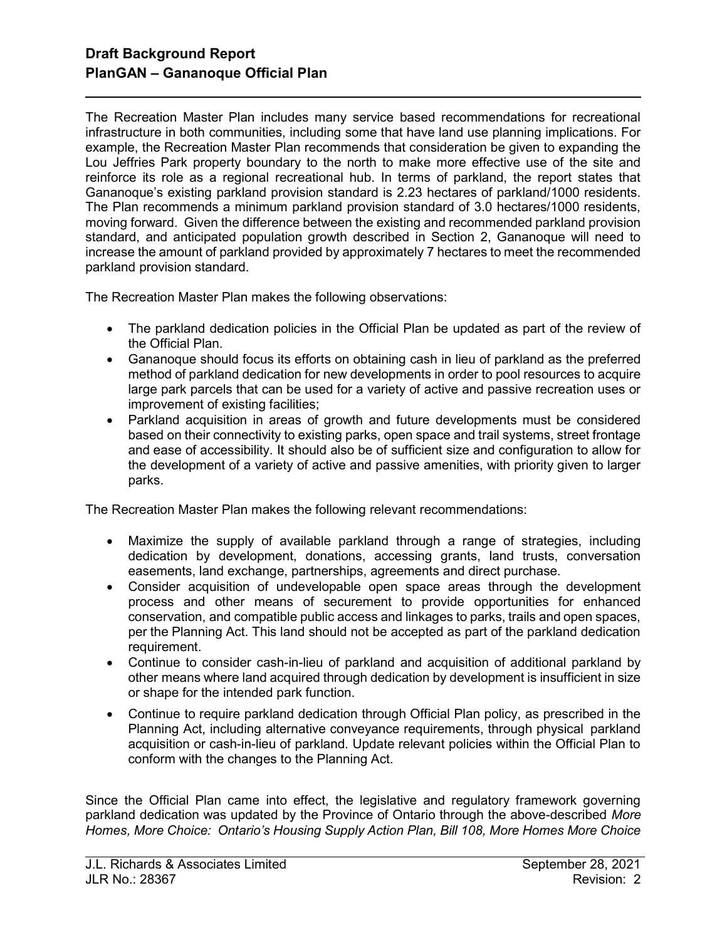l

The Recreation Master Plan includes many service based recommendations for recreational infrastructure in both communities, including some that have land use planning implications. For example, the Recreation Master Plan recommends that consideration be given to expanding the Lou Jeffries Park property boundary to the north to make more effective use of the site and reinforce its role as a regional recreational hub. In terms of parkland, the report states that Gananoque's existing parkland provision standard is 2.23 hectares of parkland/1000 residents. The Plan recommends a minimum parkland provision standard of 3.0 hectares/1000 residents, moving forward. Given the difference between the existing and recommended parkland provision standard, and anticipated population growth described in Section 2, Gananoque will need to increase the amount of parkland provided by approximately 7 hectares to meet the recommended parkland provision standard.

The Recreation Master Plan makes the following observations:

- The parkland dedication policies in the Official Plan be updated as part of the review of the Official Plan.
- Gananoque should focus its efforts on obtaining cash in lieu of parkland as the preferred method of parkland dedication for new developments in order to pool resources to acquire large park parcels that can be used for a variety of active and passive recreation uses or improvement of existing facilities;
- Parkland acquisition in areas of growth and future developments must be considered based on their connectivity to existing parks, open space and trail systems, street frontage and ease of accessibility. It should also be of sufficient size and configuration to allow for the development of a variety of active and passive amenities, with priority given to larger parks.

The Recreation Master Plan makes the following relevant recommendations:

- Maximize the supply of available parkland through a range of strategies, including dedication by development, donations, accessing grants, land trusts, conversation easements, land exchange, partnerships, agreements and direct purchase.
- Consider acquisition of undevelopable open space areas through the development process and other means of securement to provide opportunities for enhanced conservation, and compatible public access and linkages to parks, trails and open spaces, per the Planning Act. This land should not be accepted as part of the parkland dedication requirement.
- Continue to consider cash-in-lieu of parkland and acquisition of additional parkland by other means where land acquired through dedication by development is insufficient in size or shape for the intended park function.
- Continue to require parkland dedication through Official Plan policy, as prescribed in the Planning Act, including alternative conveyance requirements, through physical parkland acquisition or cash-in-lieu of parkland. Update relevant policies within the Official Plan to conform with the changes to the Planning Act.

Since the Official Plan came into effect, the legislative and regulatory framework governing parkland dedication was updated by the Province of Ontario through the above-described More Homes, More Choice: Ontario's Housing Supply Action Plan, Bill 108, More Homes More Choice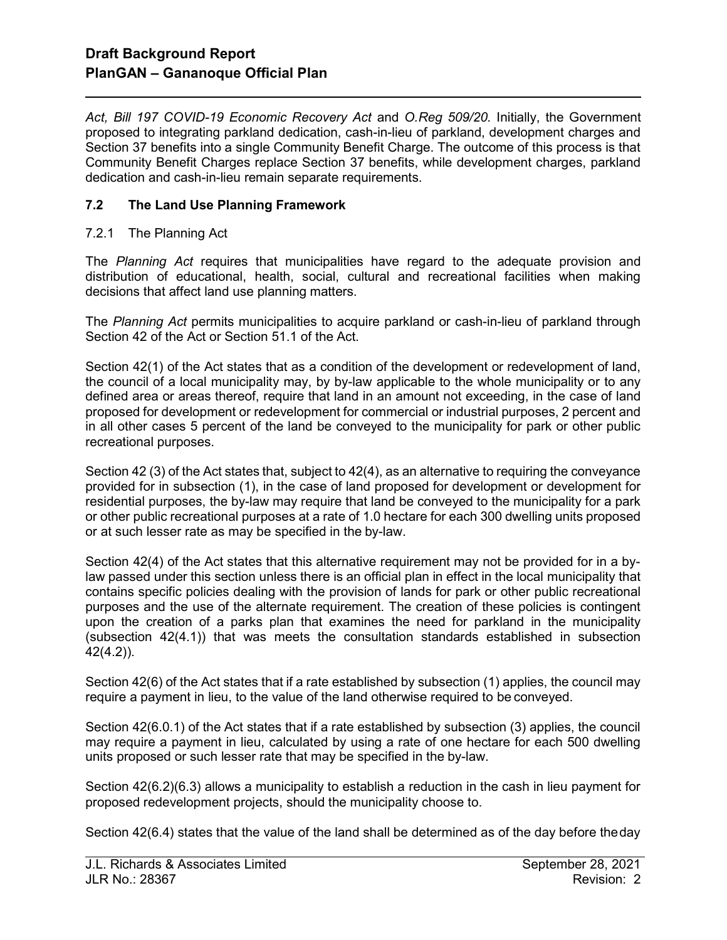Act, Bill 197 COVID-19 Economic Recovery Act and O.Reg 509/20. Initially, the Government proposed to integrating parkland dedication, cash-in-lieu of parkland, development charges and Section 37 benefits into a single Community Benefit Charge. The outcome of this process is that Community Benefit Charges replace Section 37 benefits, while development charges, parkland dedication and cash-in-lieu remain separate requirements.

# 7.2 The Land Use Planning Framework

# 7.2.1 The Planning Act

l

The Planning Act requires that municipalities have regard to the adequate provision and distribution of educational, health, social, cultural and recreational facilities when making decisions that affect land use planning matters.

The Planning Act permits municipalities to acquire parkland or cash-in-lieu of parkland through Section 42 of the Act or Section 51.1 of the Act.

Section 42(1) of the Act states that as a condition of the development or redevelopment of land, the council of a local municipality may, by by-law applicable to the whole municipality or to any defined area or areas thereof, require that land in an amount not exceeding, in the case of land proposed for development or redevelopment for commercial or industrial purposes, 2 percent and in all other cases 5 percent of the land be conveyed to the municipality for park or other public recreational purposes.

Section 42 (3) of the Act states that, subject to 42(4), as an alternative to requiring the conveyance provided for in subsection (1), in the case of land proposed for development or development for residential purposes, the by-law may require that land be conveyed to the municipality for a park or other public recreational purposes at a rate of 1.0 hectare for each 300 dwelling units proposed or at such lesser rate as may be specified in the by-law.

Section 42(4) of the Act states that this alternative requirement may not be provided for in a bylaw passed under this section unless there is an official plan in effect in the local municipality that contains specific policies dealing with the provision of lands for park or other public recreational purposes and the use of the alternate requirement. The creation of these policies is contingent upon the creation of a parks plan that examines the need for parkland in the municipality (subsection 42(4.1)) that was meets the consultation standards established in subsection 42(4.2)).

Section 42(6) of the Act states that if a rate established by subsection (1) applies, the council may require a payment in lieu, to the value of the land otherwise required to be conveyed.

Section 42(6.0.1) of the Act states that if a rate established by subsection (3) applies, the council may require a payment in lieu, calculated by using a rate of one hectare for each 500 dwelling units proposed or such lesser rate that may be specified in the by-law.

Section 42(6.2)(6.3) allows a municipality to establish a reduction in the cash in lieu payment for proposed redevelopment projects, should the municipality choose to.

Section 42(6.4) states that the value of the land shall be determined as of the day before the day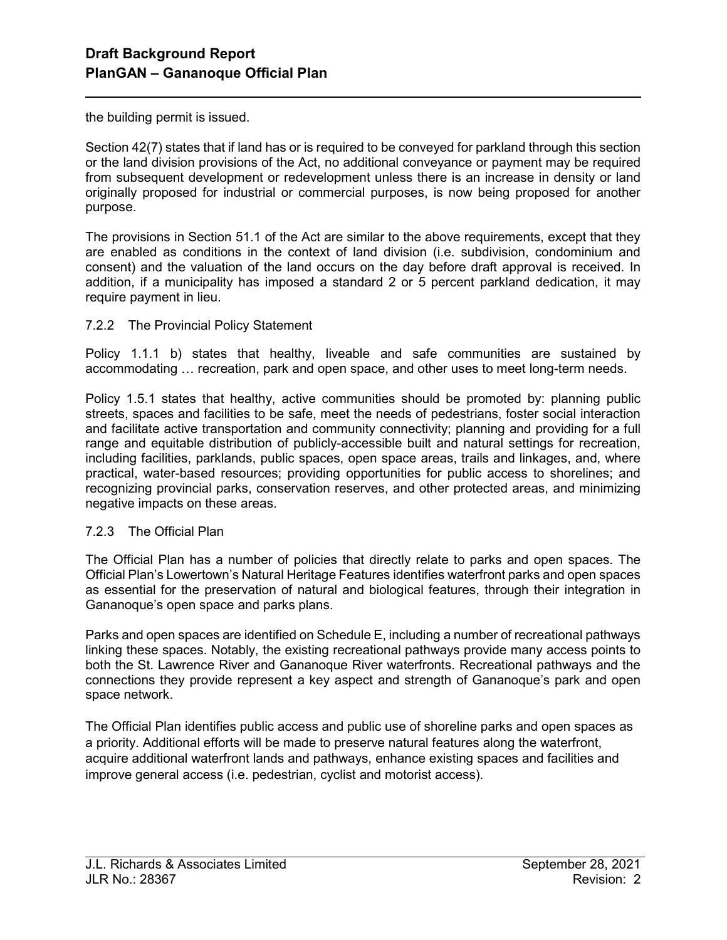the building permit is issued.

l

Section 42(7) states that if land has or is required to be conveyed for parkland through this section or the land division provisions of the Act, no additional conveyance or payment may be required from subsequent development or redevelopment unless there is an increase in density or land originally proposed for industrial or commercial purposes, is now being proposed for another purpose.

The provisions in Section 51.1 of the Act are similar to the above requirements, except that they are enabled as conditions in the context of land division (i.e. subdivision, condominium and consent) and the valuation of the land occurs on the day before draft approval is received. In addition, if a municipality has imposed a standard 2 or 5 percent parkland dedication, it may require payment in lieu.

### 7.2.2 The Provincial Policy Statement

Policy 1.1.1 b) states that healthy, liveable and safe communities are sustained by accommodating … recreation, park and open space, and other uses to meet long-term needs.

Policy 1.5.1 states that healthy, active communities should be promoted by: planning public streets, spaces and facilities to be safe, meet the needs of pedestrians, foster social interaction and facilitate active transportation and community connectivity; planning and providing for a full range and equitable distribution of publicly-accessible built and natural settings for recreation, including facilities, parklands, public spaces, open space areas, trails and linkages, and, where practical, water-based resources; providing opportunities for public access to shorelines; and recognizing provincial parks, conservation reserves, and other protected areas, and minimizing negative impacts on these areas.

### 7.2.3 The Official Plan

The Official Plan has a number of policies that directly relate to parks and open spaces. The Official Plan's Lowertown's Natural Heritage Features identifies waterfront parks and open spaces as essential for the preservation of natural and biological features, through their integration in Gananoque's open space and parks plans.

Parks and open spaces are identified on Schedule E, including a number of recreational pathways linking these spaces. Notably, the existing recreational pathways provide many access points to both the St. Lawrence River and Gananoque River waterfronts. Recreational pathways and the connections they provide represent a key aspect and strength of Gananoque's park and open space network.

The Official Plan identifies public access and public use of shoreline parks and open spaces as a priority. Additional efforts will be made to preserve natural features along the waterfront, acquire additional waterfront lands and pathways, enhance existing spaces and facilities and improve general access (i.e. pedestrian, cyclist and motorist access).